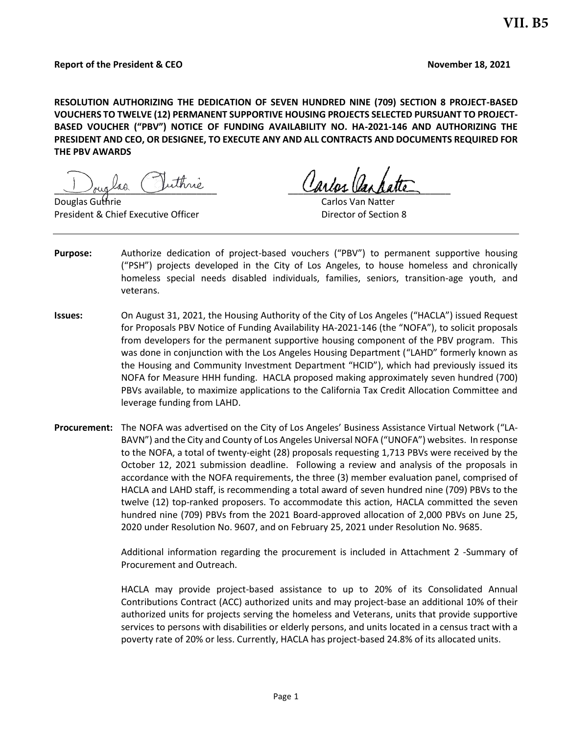**RESOLUTION AUTHORIZING THE DEDICATION OF SEVEN HUNDRED NINE (709) SECTION 8 PROJECT-BASED VOUCHERS TO TWELVE (12) PERMANENT SUPPORTIVE HOUSING PROJECTS SELECTED PURSUANT TO PROJECT-BASED VOUCHER ("PBV") NOTICE OF FUNDING AVAILABILITY NO. HA-2021-146 AND AUTHORIZING THE PRESIDENT AND CEO, OR DESIGNEE, TO EXECUTE ANY AND ALL CONTRACTS AND DOCUMENTS REQUIRED FOR THE PBV AWARDS** 

and the survey of the control of the control of the control of the control of the control of the control of the control of the control of the control of the control of the control of the control of the control of the contr

Douglas Guthrie Carlos Van Natter President & Chief Executive Officer **Director of Section 8** Director of Section 8

- **Purpose:** Authorize dedication of project-based vouchers ("PBV") to permanent supportive housing ("PSH") projects developed in the City of Los Angeles, to house homeless and chronically homeless special needs disabled individuals, families, seniors, transition-age youth, and veterans.
- **Issues:** On August 31, 2021, the Housing Authority of the City of Los Angeles ("HACLA") issued Request for Proposals PBV Notice of Funding Availability HA-2021-146 (the "NOFA"), to solicit proposals from developers for the permanent supportive housing component of the PBV program. This was done in conjunction with the Los Angeles Housing Department ("LAHD" formerly known as the Housing and Community Investment Department "HCID"), which had previously issued its NOFA for Measure HHH funding. HACLA proposed making approximately seven hundred (700) PBVs available, to maximize applications to the California Tax Credit Allocation Committee and leverage funding from LAHD.
- **Procurement:** The NOFA was advertised on the City of Los Angeles' Business Assistance Virtual Network ("LA-BAVN") and the City and County of Los Angeles Universal NOFA ("UNOFA") websites. In response to the NOFA, a total of twenty-eight (28) proposals requesting 1,713 PBVs were received by the October 12, 2021 submission deadline. Following a review and analysis of the proposals in accordance with the NOFA requirements, the three (3) member evaluation panel, comprised of HACLA and LAHD staff, is recommending a total award of seven hundred nine (709) PBVs to the twelve (12) top-ranked proposers. To accommodate this action, HACLA committed the seven hundred nine (709) PBVs from the 2021 Board-approved allocation of 2,000 PBVs on June 25, 2020 under Resolution No. 9607, and on February 25, 2021 under Resolution No. 9685.

Additional information regarding the procurement is included in Attachment 2 -Summary of Procurement and Outreach.

HACLA may provide project-based assistance to up to 20% of its Consolidated Annual Contributions Contract (ACC) authorized units and may project-base an additional 10% of their authorized units for projects serving the homeless and Veterans, units that provide supportive services to persons with disabilities or elderly persons, and units located in a census tract with a poverty rate of 20% or less. Currently, HACLA has project-based 24.8% of its allocated units.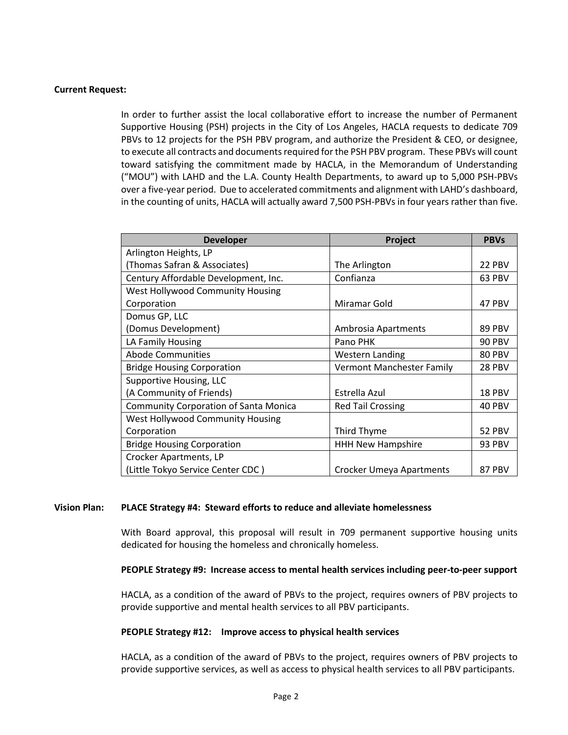### **Current Request:**

In order to further assist the local collaborative effort to increase the number of Permanent Supportive Housing (PSH) projects in the City of Los Angeles, HACLA requests to dedicate 709 PBVs to 12 projects for the PSH PBV program, and authorize the President & CEO, or designee, to execute all contracts and documents required for the PSH PBV program. These PBVs will count toward satisfying the commitment made by HACLA, in the Memorandum of Understanding ("MOU") with LAHD and the L.A. County Health Departments, to award up to 5,000 PSH-PBVs over a five-year period. Due to accelerated commitments and alignment with LAHD's dashboard, in the counting of units, HACLA will actually award 7,500 PSH-PBVs in four years rather than five.

| <b>Developer</b>                             | Project                   | <b>PBVs</b>   |
|----------------------------------------------|---------------------------|---------------|
| Arlington Heights, LP                        |                           |               |
| (Thomas Safran & Associates)                 | The Arlington             | 22 PBV        |
| Century Affordable Development, Inc.         | Confianza                 | 63 PBV        |
| <b>West Hollywood Community Housing</b>      |                           |               |
| Corporation                                  | Miramar Gold              | 47 PBV        |
| Domus GP, LLC                                |                           |               |
| (Domus Development)                          | Ambrosia Apartments       | 89 PBV        |
| LA Family Housing                            | Pano PHK                  | <b>90 PBV</b> |
| <b>Abode Communities</b>                     | <b>Western Landing</b>    | 80 PBV        |
| <b>Bridge Housing Corporation</b>            | Vermont Manchester Family | 28 PBV        |
| Supportive Housing, LLC                      |                           |               |
| (A Community of Friends)                     | Estrella Azul             | <b>18 PBV</b> |
| <b>Community Corporation of Santa Monica</b> | <b>Red Tail Crossing</b>  | 40 PBV        |
| <b>West Hollywood Community Housing</b>      |                           |               |
| Corporation                                  | Third Thyme               | <b>52 PBV</b> |
| <b>Bridge Housing Corporation</b>            | <b>HHH New Hampshire</b>  | <b>93 PBV</b> |
| Crocker Apartments, LP                       |                           |               |
| (Little Tokyo Service Center CDC)            | Crocker Umeya Apartments  | 87 PBV        |

### **Vision Plan: PLACE Strategy #4: Steward efforts to reduce and alleviate homelessness**

With Board approval, this proposal will result in 709 permanent supportive housing units dedicated for housing the homeless and chronically homeless.

#### **PEOPLE Strategy #9: Increase access to mental health services including peer-to-peer support**

HACLA, as a condition of the award of PBVs to the project, requires owners of PBV projects to provide supportive and mental health services to all PBV participants.

### **PEOPLE Strategy #12: Improve access to physical health services**

HACLA, as a condition of the award of PBVs to the project, requires owners of PBV projects to provide supportive services, as well as access to physical health services to all PBV participants.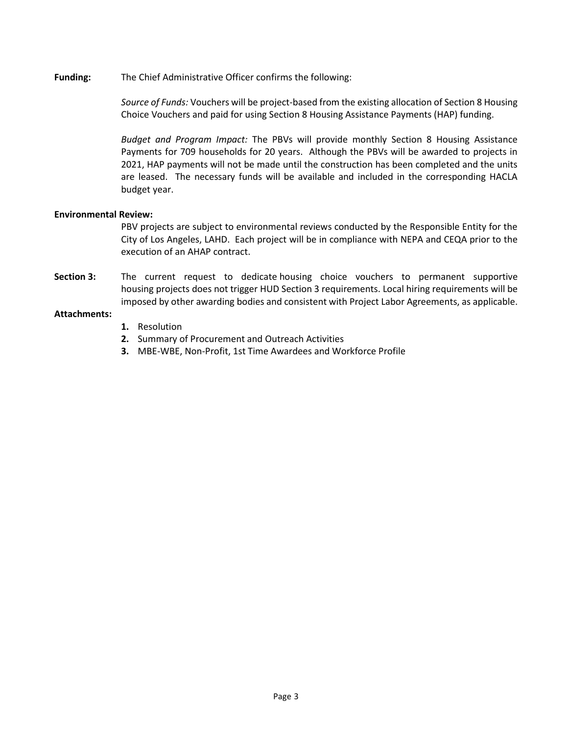**Funding:** The Chief Administrative Officer confirms the following:

*Source of Funds:* Vouchers will be project-based from the existing allocation of Section 8 Housing Choice Vouchers and paid for using Section 8 Housing Assistance Payments (HAP) funding.

*Budget and Program Impact:* The PBVs will provide monthly Section 8 Housing Assistance Payments for 709 households for 20 years. Although the PBVs will be awarded to projects in 2021, HAP payments will not be made until the construction has been completed and the units are leased. The necessary funds will be available and included in the corresponding HACLA budget year.

### **Environmental Review:**

PBV projects are subject to environmental reviews conducted by the Responsible Entity for the City of Los Angeles, LAHD. Each project will be in compliance with NEPA and CEQA prior to the execution of an AHAP contract.

**Section 3:** The current request to dedicate housing choice vouchers to permanent supportive housing projects does not trigger HUD Section 3 requirements. Local hiring requirements will be imposed by other awarding bodies and consistent with Project Labor Agreements, as applicable.

### **Attachments:**

- **1.** Resolution
- **2.** Summary of Procurement and Outreach Activities
- **3.** MBE-WBE, Non-Profit, 1st Time Awardees and Workforce Profile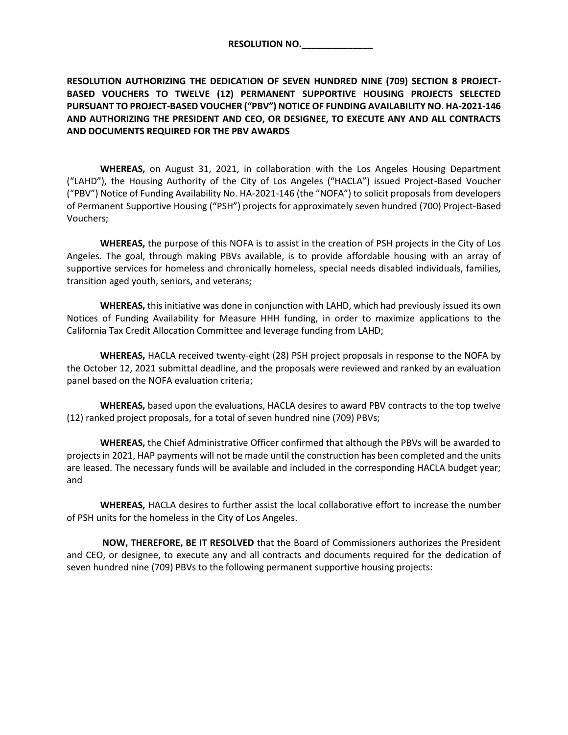**RESOLUTION NO.\_\_\_\_\_\_\_\_\_\_\_\_\_\_** 

**RESOLUTION AUTHORIZING THE DEDICATION OF SEVEN HUNDRED NINE (709) SECTION 8 PROJECT-BASED VOUCHERS TO TWELVE (12) PERMANENT SUPPORTIVE HOUSING PROJECTS SELECTED PURSUANT TO PROJECT-BASED VOUCHER ("PBV") NOTICE OF FUNDING AVAILABILITY NO. HA-2021-146 AND AUTHORIZING THE PRESIDENT AND CEO, OR DESIGNEE, TO EXECUTE ANY AND ALL CONTRACTS AND DOCUMENTS REQUIRED FOR THE PBV AWARDS** 

**WHEREAS,** on August 31, 2021, in collaboration with the Los Angeles Housing Department ("LAHD"), the Housing Authority of the City of Los Angeles ("HACLA") issued Project-Based Voucher ("PBV") Notice of Funding Availability No. HA-2021-146 (the "NOFA") to solicit proposals from developers of Permanent Supportive Housing ("PSH") projects for approximately seven hundred (700) Project-Based Vouchers;

**WHEREAS,** the purpose of this NOFA is to assist in the creation of PSH projects in the City of Los Angeles. The goal, through making PBVs available, is to provide affordable housing with an array of supportive services for homeless and chronically homeless, special needs disabled individuals, families, transition aged youth, seniors, and veterans;

**WHEREAS,** this initiative was done in conjunction with LAHD, which had previously issued its own Notices of Funding Availability for Measure HHH funding, in order to maximize applications to the California Tax Credit Allocation Committee and leverage funding from LAHD;

**WHEREAS,** HACLA received twenty-eight (28) PSH project proposals in response to the NOFA by the October 12, 2021 submittal deadline, and the proposals were reviewed and ranked by an evaluation panel based on the NOFA evaluation criteria;

**WHEREAS,** based upon the evaluations, HACLA desires to award PBV contracts to the top twelve (12) ranked project proposals, for a total of seven hundred nine (709) PBVs;

**WHEREAS,** the Chief Administrative Officer confirmed that although the PBVs will be awarded to projects in 2021, HAP payments will not be made until the construction has been completed and the units are leased. The necessary funds will be available and included in the corresponding HACLA budget year; and

**WHEREAS,** HACLA desires to further assist the local collaborative effort to increase the number of PSH units for the homeless in the City of Los Angeles.

 **NOW, THEREFORE, BE IT RESOLVED** that the Board of Commissioners authorizes the President and CEO, or designee, to execute any and all contracts and documents required for the dedication of seven hundred nine (709) PBVs to the following permanent supportive housing projects: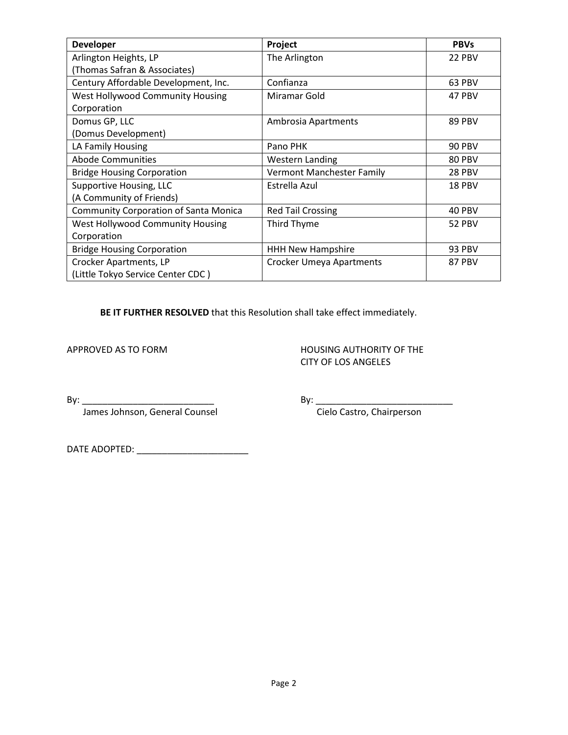| <b>Developer</b>                             | Project                          | <b>PBVs</b>   |
|----------------------------------------------|----------------------------------|---------------|
| Arlington Heights, LP                        | The Arlington                    | 22 PBV        |
| (Thomas Safran & Associates)                 |                                  |               |
| Century Affordable Development, Inc.         | Confianza                        | 63 PBV        |
| West Hollywood Community Housing             | Miramar Gold                     | 47 PBV        |
| Corporation                                  |                                  |               |
| Domus GP, LLC                                | Ambrosia Apartments              | 89 PBV        |
| (Domus Development)                          |                                  |               |
| LA Family Housing                            | Pano PHK                         | <b>90 PBV</b> |
| <b>Abode Communities</b>                     | <b>Western Landing</b>           | 80 PBV        |
| <b>Bridge Housing Corporation</b>            | <b>Vermont Manchester Family</b> | 28 PBV        |
| Supportive Housing, LLC                      | Estrella Azul                    | 18 PBV        |
| (A Community of Friends)                     |                                  |               |
| <b>Community Corporation of Santa Monica</b> | <b>Red Tail Crossing</b>         | 40 PBV        |
| West Hollywood Community Housing             | Third Thyme                      | 52 PBV        |
| Corporation                                  |                                  |               |
| <b>Bridge Housing Corporation</b>            | <b>HHH New Hampshire</b>         | 93 PBV        |
| Crocker Apartments, LP                       | <b>Crocker Umeya Apartments</b>  | 87 PBV        |
| (Little Tokyo Service Center CDC)            |                                  |               |

**BE IT FURTHER RESOLVED** that this Resolution shall take effect immediately.

APPROVED AS TO FORM **HOUSING AUTHORITY OF THE** CITY OF LOS ANGELES

James Johnson, General Counsel Cielo Castro, Chairperson

By: \_\_\_\_\_\_\_\_\_\_\_\_\_\_\_\_\_\_\_\_\_\_\_\_\_\_ By: \_\_\_\_\_\_\_\_\_\_\_\_\_\_\_\_\_\_\_\_\_\_\_\_\_\_\_

DATE ADOPTED: \_\_\_\_\_\_\_\_\_\_\_\_\_\_\_\_\_\_\_\_\_\_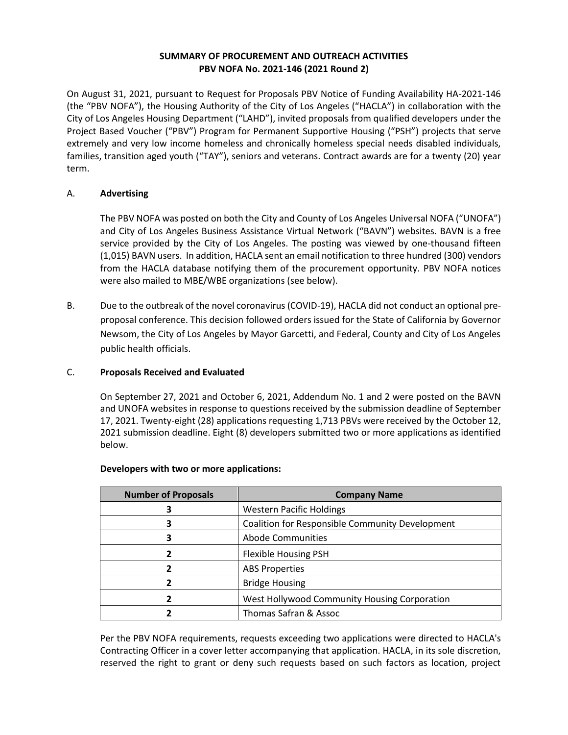# **SUMMARY OF PROCUREMENT AND OUTREACH ACTIVITIES PBV NOFA No. 2021-146 (2021 Round 2)**

On August 31, 2021, pursuant to Request for Proposals PBV Notice of Funding Availability HA-2021-146 (the "PBV NOFA"), the Housing Authority of the City of Los Angeles ("HACLA") in collaboration with the City of Los Angeles Housing Department ("LAHD"), invited proposals from qualified developers under the Project Based Voucher ("PBV") Program for Permanent Supportive Housing ("PSH") projects that serve extremely and very low income homeless and chronically homeless special needs disabled individuals, families, transition aged youth ("TAY"), seniors and veterans. Contract awards are for a twenty (20) year term.

# A. **Advertising**

The PBV NOFA was posted on both the City and County of Los Angeles Universal NOFA ("UNOFA") and City of Los Angeles Business Assistance Virtual Network ("BAVN") websites. BAVN is a free service provided by the City of Los Angeles. The posting was viewed by one-thousand fifteen (1,015) BAVN users. In addition, HACLA sent an email notification to three hundred (300) vendors from the HACLA database notifying them of the procurement opportunity. PBV NOFA notices were also mailed to MBE/WBE organizations (see below).

B. Due to the outbreak of the novel coronavirus (COVID-19), HACLA did not conduct an optional preproposal conference. This decision followed orders issued for the State of California by Governor Newsom, the City of Los Angeles by Mayor Garcetti, and Federal, County and City of Los Angeles public health officials.

### C. **Proposals Received and Evaluated**

On September 27, 2021 and October 6, 2021, Addendum No. 1 and 2 were posted on the BAVN and UNOFA websites in response to questions received by the submission deadline of September 17, 2021. Twenty-eight (28) applications requesting 1,713 PBVs were received by the October 12, 2021 submission deadline. Eight (8) developers submitted two or more applications as identified below.

| <b>Number of Proposals</b> | <b>Company Name</b>                                    |
|----------------------------|--------------------------------------------------------|
|                            | <b>Western Pacific Holdings</b>                        |
|                            | <b>Coalition for Responsible Community Development</b> |
| 3                          | <b>Abode Communities</b>                               |
|                            | Flexible Housing PSH                                   |
|                            | <b>ABS Properties</b>                                  |
|                            | <b>Bridge Housing</b>                                  |
|                            | West Hollywood Community Housing Corporation           |
|                            | Thomas Safran & Assoc                                  |

### **Developers with two or more applications:**

Per the PBV NOFA requirements, requests exceeding two applications were directed to HACLA's Contracting Officer in a cover letter accompanying that application. HACLA, in its sole discretion, reserved the right to grant or deny such requests based on such factors as location, project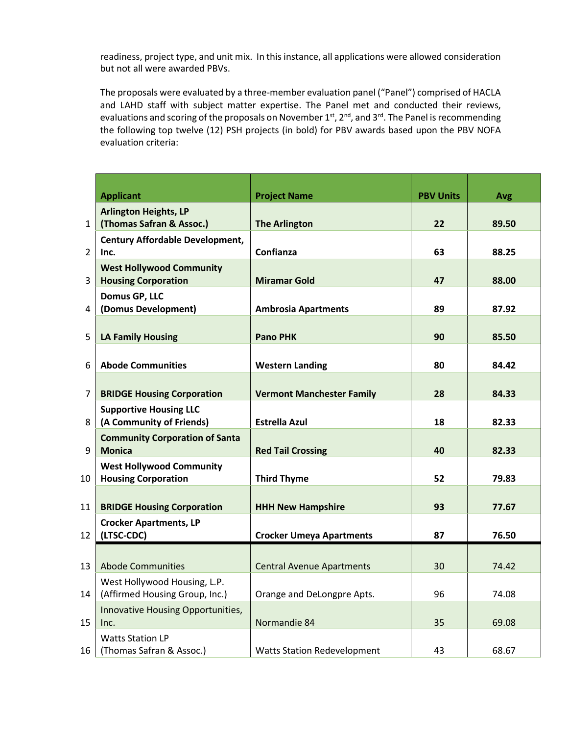readiness, project type, and unit mix. In this instance, all applications were allowed consideration but not all were awarded PBVs.

The proposals were evaluated by a three-member evaluation panel ("Panel") comprised of HACLA and LAHD staff with subject matter expertise. The Panel met and conducted their reviews, evaluations and scoring of the proposals on November 1st, 2<sup>nd</sup>, and 3<sup>rd</sup>. The Panel is recommending the following top twelve (12) PSH projects (in bold) for PBV awards based upon the PBV NOFA evaluation criteria:

|                | <b>Applicant</b>                                    | <b>Project Name</b>                | <b>PBV Units</b> | Avg   |
|----------------|-----------------------------------------------------|------------------------------------|------------------|-------|
|                | <b>Arlington Heights, LP</b>                        |                                    |                  |       |
| $\mathbf{1}$   | (Thomas Safran & Assoc.)                            | <b>The Arlington</b>               | 22               | 89.50 |
|                | <b>Century Affordable Development,</b>              |                                    |                  |       |
| $\overline{2}$ | Inc.                                                | Confianza                          | 63               | 88.25 |
|                | <b>West Hollywood Community</b>                     |                                    |                  |       |
| 3              | <b>Housing Corporation</b>                          | <b>Miramar Gold</b>                | 47               | 88.00 |
|                | Domus GP, LLC                                       |                                    |                  |       |
| 4              | (Domus Development)                                 | <b>Ambrosia Apartments</b>         | 89               | 87.92 |
|                |                                                     |                                    |                  |       |
| 5              | <b>LA Family Housing</b>                            | <b>Pano PHK</b>                    | 90               | 85.50 |
|                |                                                     |                                    |                  |       |
| 6              | <b>Abode Communities</b>                            | <b>Western Landing</b>             | 80               | 84.42 |
|                |                                                     |                                    |                  |       |
| $\overline{7}$ | <b>BRIDGE Housing Corporation</b>                   | <b>Vermont Manchester Family</b>   | 28               | 84.33 |
|                | <b>Supportive Housing LLC</b>                       |                                    |                  |       |
| 8              | (A Community of Friends)                            | <b>Estrella Azul</b>               | 18               | 82.33 |
|                | <b>Community Corporation of Santa</b>               |                                    |                  |       |
| 9              | <b>Monica</b>                                       | <b>Red Tail Crossing</b>           | 40               | 82.33 |
|                | <b>West Hollywood Community</b>                     |                                    |                  |       |
| 10             | <b>Housing Corporation</b>                          | <b>Third Thyme</b>                 | 52               | 79.83 |
| 11             | <b>BRIDGE Housing Corporation</b>                   | <b>HHH New Hampshire</b>           | 93               | 77.67 |
|                |                                                     |                                    |                  |       |
| 12             | <b>Crocker Apartments, LP</b><br>(LTSC-CDC)         | <b>Crocker Umeya Apartments</b>    | 87               | 76.50 |
|                |                                                     |                                    |                  |       |
|                |                                                     |                                    |                  |       |
| 13             | <b>Abode Communities</b>                            | <b>Central Avenue Apartments</b>   | 30               | 74.42 |
|                | West Hollywood Housing, L.P.                        |                                    | 96               |       |
| 14             | (Affirmed Housing Group, Inc.)                      | Orange and DeLongpre Apts.         |                  | 74.08 |
| 15             | Innovative Housing Opportunities,<br>Inc.           | Normandie 84                       | 35               | 69.08 |
|                |                                                     |                                    |                  |       |
| 16             | <b>Watts Station LP</b><br>(Thomas Safran & Assoc.) | <b>Watts Station Redevelopment</b> | 43               | 68.67 |
|                |                                                     |                                    |                  |       |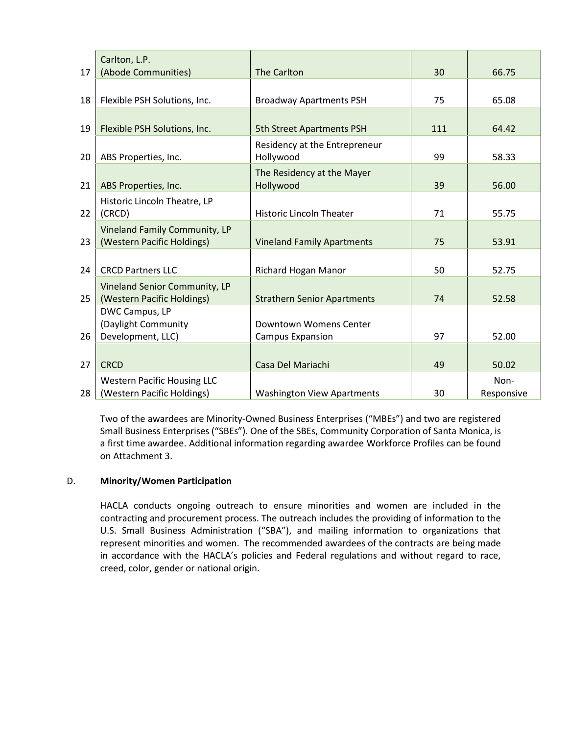| 17 | Carlton, L.P.<br>(Abode Communities)                             | <b>The Carlton</b>                                                | 30  | 66.75              |
|----|------------------------------------------------------------------|-------------------------------------------------------------------|-----|--------------------|
| 18 | Flexible PSH Solutions, Inc.                                     | <b>Broadway Apartments PSH</b>                                    | 75  | 65.08              |
|    |                                                                  |                                                                   |     |                    |
| 19 | Flexible PSH Solutions, Inc.                                     | <b>5th Street Apartments PSH</b><br>Residency at the Entrepreneur | 111 | 64.42              |
| 20 | ABS Properties, Inc.                                             | Hollywood                                                         | 99  | 58.33              |
| 21 | ABS Properties, Inc.                                             | The Residency at the Mayer<br>Hollywood                           | 39  | 56.00              |
| 22 | Historic Lincoln Theatre, LP<br>(CRCD)                           | <b>Historic Lincoln Theater</b>                                   | 71  | 55.75              |
| 23 | Vineland Family Community, LP<br>(Western Pacific Holdings)      | <b>Vineland Family Apartments</b>                                 | 75  | 53.91              |
| 24 | <b>CRCD Partners LLC</b>                                         | Richard Hogan Manor                                               | 50  | 52.75              |
| 25 | Vineland Senior Community, LP<br>(Western Pacific Holdings)      | <b>Strathern Senior Apartments</b>                                | 74  | 52.58              |
| 26 | DWC Campus, LP<br>(Daylight Community<br>Development, LLC)       | Downtown Womens Center                                            | 97  | 52.00              |
|    |                                                                  | <b>Campus Expansion</b>                                           |     |                    |
| 27 | <b>CRCD</b>                                                      | Casa Del Mariachi                                                 | 49  | 50.02              |
| 28 | <b>Western Pacific Housing LLC</b><br>(Western Pacific Holdings) | <b>Washington View Apartments</b>                                 | 30  | Non-<br>Responsive |

Two of the awardees are Minority-Owned Business Enterprises ("MBEs") and two are registered Small Business Enterprises ("SBEs"). One of the SBEs, Community Corporation of Santa Monica, is a first time awardee. Additional information regarding awardee Workforce Profiles can be found on Attachment 3.

### D. **Minority/Women Participation**

HACLA conducts ongoing outreach to ensure minorities and women are included in the contracting and procurement process. The outreach includes the providing of information to the U.S. Small Business Administration ("SBA"), and mailing information to organizations that represent minorities and women. The recommended awardees of the contracts are being made in accordance with the HACLA's policies and Federal regulations and without regard to race, creed, color, gender or national origin.